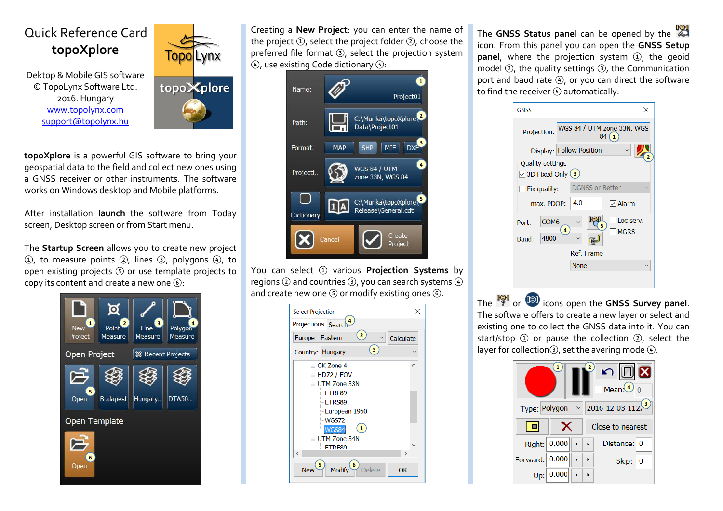## Quick Reference Card  **topoXplore**

 Dektop & Mobile GIS software © TopoLynx Software Ltd. 2016. Hungary [www.topolynx.com](http://www.topolynx.com/) [support@topolynx.hu](mailto:support@topolynx.hu) 



**topoXplore** is a powerful GIS software to bring your geospatial data to the field and collect new ones using a GNSS receiver or other instruments. The software works on Windows desktop and Mobile platforms.

After installation **launch** the software from Today screen, Desktop screen or from Start menu.

The **Startup Screen** allows you to create new project  $(1)$ , to measure points  $(2)$ , lines  $(3)$ , polygons  $(4)$ , to open existing projects  $\circled{S}$  or use template projects to copy its content and create a new one  $(6)$ :



Creating a **New Project**: you can enter the name of the project  $(1)$ , select the project folder  $(2)$ , choose the preferred file format  $(3)$ , select the projection system  $\left( 4\right)$ , use existing Code dictionary  $\left( 5\right)$ .

| Name:             |            | $\mathbf{1}$<br>Project01                                          |
|-------------------|------------|--------------------------------------------------------------------|
| Path:             |            | C:\Munka\topoXplore\2<br>Data\Project01                            |
| Format:           | <b>MAP</b> | 3<br><b>SHP</b><br>MIF<br><b>DXF</b>                               |
| Projecti          |            | $\overline{\mathbf{a}}$<br><b>WGS 84 / UTM</b><br>zone 33N, WGS 84 |
| <b>Dictionary</b> |            | C:\Munka\topoXplore\<br>Release\General.cdt                        |
|                   | Cancel     | Create<br>Project                                                  |

You can select 1 various **Projection Systems** by regions  $(2)$  and countries  $(3)$ , you can search systems  $(4)$ and create new one  $(5)$  or modify existing ones  $(6)$ .

| <b>Select Projection</b>                                                     | $\times$      |
|------------------------------------------------------------------------------|---------------|
| Projections Search                                                           |               |
| $\mathbf{2}$<br>Europe - Eastern                                             | Calculate     |
| 3<br>Country: Hungary                                                        |               |
| <b>⊞ GK Zone 4</b>                                                           | ㅅ             |
| 由·HD72 / EOV                                                                 |               |
| <b>E UTM Zone 33N</b>                                                        |               |
| ETRF89                                                                       |               |
| <b>ETRS89</b>                                                                |               |
| -European 1950                                                               |               |
| WGS72                                                                        |               |
| $\vert 1 \rangle$<br><b>WGS84</b>                                            |               |
| <b>□ UTM Zone 34N</b>                                                        |               |
| <b>FTRF89</b>                                                                |               |
| k                                                                            | $\rightarrow$ |
| 5<br>$\overline{\mathbf{e}}$<br><b>Modify</b><br><b>Delete</b><br><b>New</b> | OK            |

The **GNSS Status panel** can be opened by the icon. From this panel you can open the **GNSS Setup**  panel, where the projection system (1), the geoid model  $(2)$ , the quality settings  $(3)$ , the Communication port and baud rate  $(4)$ , or you can direct the software to find the receiver  $(5)$  automatically.

| <b>GNSS</b>                 | ×                                                  |
|-----------------------------|----------------------------------------------------|
| Projection:                 | WGS 84 / UTM zone 33N, WGS<br>$\overline{1}$<br>84 |
|                             | Display: Follow Position                           |
| <b>Quality settings</b>     |                                                    |
| $\boxdot$ 3D Fixed Only (3) |                                                    |
| $\Box$ Fix quality:         | <b>DGNSS or Better</b>                             |
| max. PDOP:                  | 4.0<br>$\boxdot$ Alarm                             |
| COM <sub>6</sub><br>Port:   | Loc serv.<br>5                                     |
| 4800<br>Baud:               | 4<br><b>MGRS</b>                                   |
|                             | Ref. Frame                                         |
|                             | <b>None</b>                                        |

The <sup>16</sup>/<sub>3</sub> or <sup>13</sup> icons open the GNSS Survey panel. The software offers to create a new layer or select and existing one to collect the GNSS data into it. You can start/stop  $\Omega$  or pause the collection  $\Omega$ , select the layer for collection $(3)$ , set the avering mode  $(4)$ .

| 1<br>$\begin{picture}(150,10) \put(0,0){\line(1,0){10}} \put(15,0){\line(1,0){10}} \put(15,0){\line(1,0){10}} \put(15,0){\line(1,0){10}} \put(15,0){\line(1,0){10}} \put(15,0){\line(1,0){10}} \put(15,0){\line(1,0){10}} \put(15,0){\line(1,0){10}} \put(15,0){\line(1,0){10}} \put(15,0){\line(1,0){10}} \put(15,0){\line(1,0){10}} \put(15,0){\line($<br>$\Box$ Mean: $\overline{•}$ 0 |              |  |  |                        |  |  |
|-------------------------------------------------------------------------------------------------------------------------------------------------------------------------------------------------------------------------------------------------------------------------------------------------------------------------------------------------------------------------------------------|--------------|--|--|------------------------|--|--|
| Type: Polygon                                                                                                                                                                                                                                                                                                                                                                             |              |  |  | $\vee$ 2016-12-03-112. |  |  |
| 1 ol                                                                                                                                                                                                                                                                                                                                                                                      | ×            |  |  | Close to nearest       |  |  |
|                                                                                                                                                                                                                                                                                                                                                                                           | Right: 0.000 |  |  | Distance: 0            |  |  |
| Forward: 0.000                                                                                                                                                                                                                                                                                                                                                                            |              |  |  | Skip:<br>$\bf{0}$      |  |  |
| Up:                                                                                                                                                                                                                                                                                                                                                                                       | 0.000        |  |  |                        |  |  |